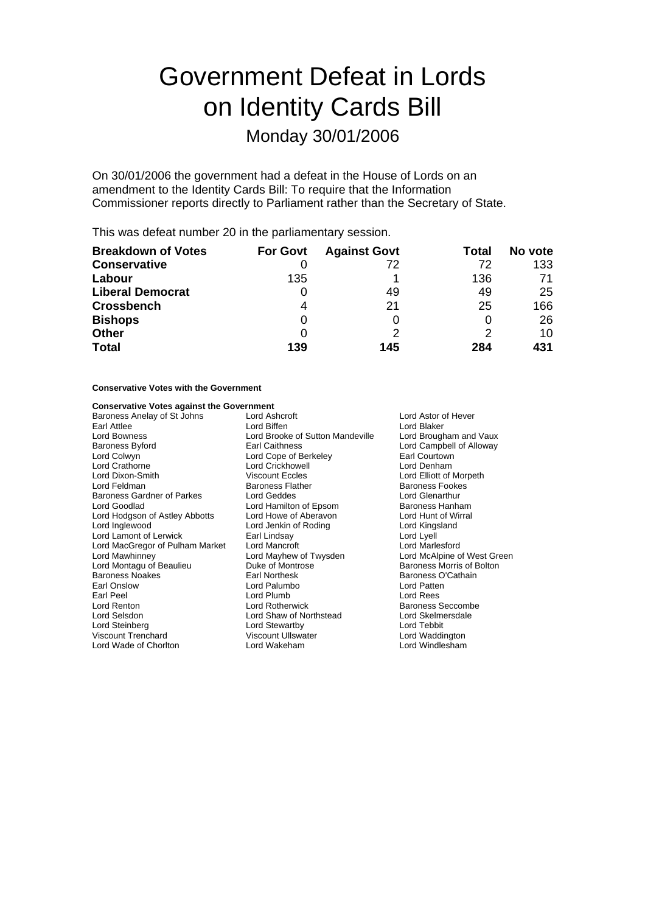# Government Defeat in Lords on Identity Cards Bill

# Monday 30/01/2006

On 30/01/2006 the government had a defeat in the House of Lords on an amendment to the Identity Cards Bill: To require that the Information Commissioner reports directly to Parliament rather than the Secretary of State.

This was defeat number 20 in the parliamentary session.

| <b>Breakdown of Votes</b> | <b>For Govt</b> | <b>Against Govt</b> | Total | No vote |
|---------------------------|-----------------|---------------------|-------|---------|
| <b>Conservative</b>       |                 | 72                  | 72    | 133     |
| Labour                    | 135             |                     | 136   | 71      |
| <b>Liberal Democrat</b>   | O               | 49                  | 49    | 25      |
| <b>Crossbench</b>         |                 | 21                  | 25    | 166     |
| <b>Bishops</b>            | 0               |                     | O     | 26      |
| <b>Other</b>              | 0               |                     | 2     | 10      |
| <b>Total</b>              | 139             | 145                 | 284   | 431     |

#### **Conservative Votes with the Government**

#### **Conservative Votes against the Government**

| Baroness Anelay of St Johns     | Lord Ashcroft<br>Lord Astor of Hever       |                             |  |
|---------------------------------|--------------------------------------------|-----------------------------|--|
| Earl Attlee                     | Lord Biffen<br>Lord Blaker                 |                             |  |
| Lord Bowness                    | Lord Brooke of Sutton Mandeville           | Lord Brougham and Vaux      |  |
| Baroness Byford                 | Earl Caithness<br>Lord Campbell of Alloway |                             |  |
| Lord Colwyn                     | Lord Cope of Berkeley                      | Earl Courtown               |  |
| Lord Crathorne                  | Lord Crickhowell                           | Lord Denham                 |  |
| Lord Dixon-Smith                | <b>Viscount Eccles</b>                     | Lord Elliott of Morpeth     |  |
| Lord Feldman                    | <b>Baroness Flather</b>                    | <b>Baroness Fookes</b>      |  |
| Baroness Gardner of Parkes      | Lord Geddes                                | Lord Glenarthur             |  |
| Lord Goodlad                    | Lord Hamilton of Epsom                     | Baroness Hanham             |  |
| Lord Hodgson of Astley Abbotts  | Lord Howe of Aberavon                      | Lord Hunt of Wirral         |  |
| Lord Inglewood                  | Lord Jenkin of Roding                      | Lord Kingsland              |  |
| Lord Lamont of Lerwick          | Earl Lindsay                               | Lord Lyell                  |  |
| Lord MacGregor of Pulham Market | Lord Mancroft                              | Lord Marlesford             |  |
| Lord Mawhinney                  | Lord Mayhew of Twysden                     | Lord McAlpine of West Green |  |
| Lord Montagu of Beaulieu        | Duke of Montrose                           | Baroness Morris of Bolton   |  |
| <b>Baroness Noakes</b>          | Earl Northesk                              | Baroness O'Cathain          |  |
| Earl Onslow                     | Lord Palumbo                               | Lord Patten                 |  |
| Earl Peel                       | Lord Plumb                                 | Lord Rees                   |  |
| Lord Renton                     | Lord Rotherwick                            | <b>Baroness Seccombe</b>    |  |
| Lord Selsdon                    | Lord Shaw of Northstead                    | Lord Skelmersdale           |  |
| Lord Steinberg                  | Lord Stewartby                             | Lord Tebbit                 |  |
| Viscount Trenchard              | <b>Viscount Ullswater</b>                  | Lord Waddington             |  |
| Lord Wade of Chorlton           | Lord Wakeham                               | Lord Windlesham             |  |
|                                 |                                            |                             |  |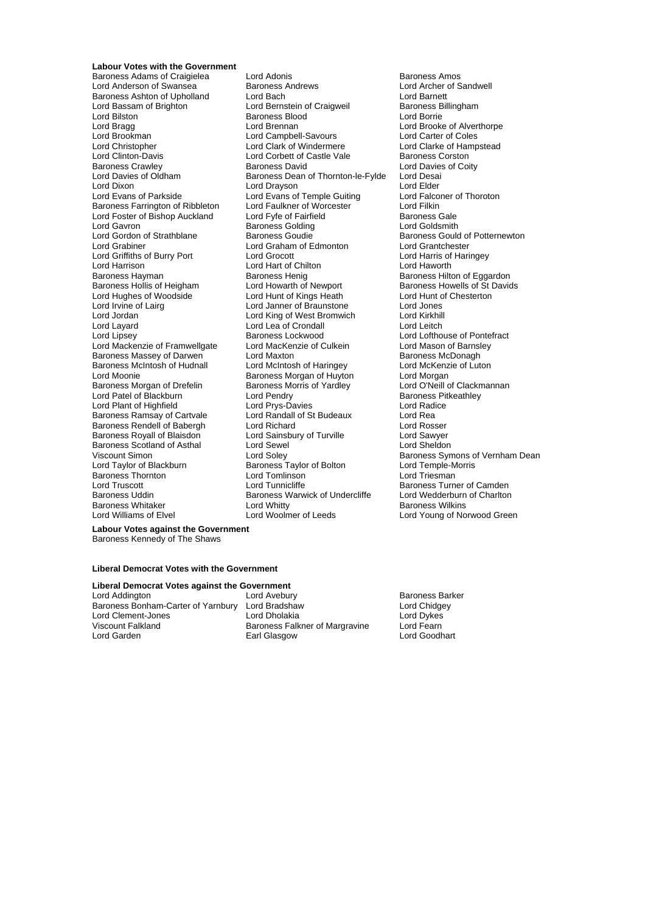**Labour Votes with the Government** Lord Bilston Baroness Blood<br>
Lord Bragg<br>
Lord Brennan Lord Clinton-Davis Lord Corbett of Castle Vale<br>
Baroness Crawley Baroness David Lord Gavron **Baroness Golding**<br> **Cord Gordon of Strathblane** Baroness Goudie Lord Layard Lord Lea of Crondall Lord Leitch Lord Plant of Highfield Lord Prys-Davies<br>Baroness Ramsay of Cartvale Lord Randall of St Budeaux Baroness Scotland of Asthal **Baroness Thornton Lord Tomlinson**<br>
Lord Truscott Lord Tunnicliffe **Baroness Whitaker Lord Whitty<br>Baroness Whitaker Lord Woolmer of Leeds**<br>Baroness of Elvel

Baroness Adams of Craigielea Lord Adonis<br>
Lord Anderson of Swansea Baroness Andrews Baroness Andrews Lord Archer of S Lord Anderson of Swansea Baroness Andrews Lord Archer of Sandwell Baroness Ashton of Upholland Lord Bach Lord Barnett Lord Bassam of Brighton **Lord Bernstein of Craigweil** Baroness B<br>
Lord Bilston **Caroness Blood** Baroness Blood Lord Borrie Lord Bragg Lord Brennan Lord Brennan Lord Brooke of Alverthorpe<br>
Lord Brookman Lord Campbell-Savours Lord Carter of Coles Lord Brookman **Lord Campbell-Savours** Lord Carter of Coles<br>Lord Christopher Lord Carter of Coles<br>Lord Christopher Lord Clark of Windermere Lord Clarke of Hampstead Lord Christopher **Lord Clark of Windermere** Lord Clarke of Hampstead Lord Clarke of Hampstead Lord Clarke of Hampstead Lord Clarke of Hampstead Lord Clarke of Hampstead Lord Corbett of Castle Vale Baroness Crawley **Baroness David** Baroness David Lord Davies of Coity<br>
Lord Davies of Oldham **Baroness Dean of Thornton-le-Fylde** Lord Desai Lord Davies of Oldham Baroness Dean of Thornton-le-Fylde Lord Desai<br>Lord Dixon Lord Drayson Lord Drayson Lord Elder Lord Dixon Lord Drayson Lord Drayson<br>
Lord Evans of Parkside Lord Evans of Temple Guiting Lord Falconer of Thoroton Lord Evans of Temple Guiting Lord Falconer Lord Falconer Corp.<br>
Lord Faulkner of Worcester Lord Filkin Baroness Farrington of Ribbleton Lord Faulkner of Worcester The Lord Filkin<br>
Lord Foster of Bishop Auckland Lord Fyfe of Fairfield Baroness Gale Lord Foster of Bishop Auckland Lord Fyfe of Fairfield Baroness Gale<br>
Lord Gayron Baroness Golding Baroness Golding Lord Goldsmith Lord Gordon of Strathblane **Baroness Goudie** Baroness Gould of Potternewton<br>
Lord Grabiner **Baroness Goudie** Baroness Gould of Potternewton<br>
Lord Graham of Edmonton Lord Grantchester Lord Graham of Edmonton<br>
Lord Grocott<br>
Lord Harris of Haringey Lord Griffiths of Burry Port Lord Grocott Lord Harris of Lord Harris of Lord Harris of Lord Harris of Lord Haventh<br>
Lord Harrison Lord Harris Chilton Lord Haworth Lord Hart of Chilton Baroness Hayman Baroness Henig Baroness Henig Baroness Hilton of Eggardon<br>Baroness Hollis of Heigham Lord Howarth of Newport Baroness Howells of St David Lord Howarth of Newport Baroness Howells of St Davids<br>
Lord Hunt of Kings Heath Lord Hunt of Chesterton Lord Hughes of Woodside Lord Hunt of Kings Heath Lord Hunt of Chester Lord Hunt of Chester<br>
Lord Jones Lord Jones Lord Jones Lord Jones Lord Irvine of Lairg Lord Janner of Braunstone Lord Jones Lord Jordan Lord King of West Bromwich Lord Kirkhill Baroness Lockwood Lord Lofthouse of Pontefract<br>
Lord MacKenzie of Culkein Lord Mason of Barnsley Lord Mackenzie of Framwellgate Lord MacKenzie of Culkein Lord Mason of Barnsl<br>Baroness Massey of Darwen Lord Maxton Culkein Baroness McDonagh Baroness Massey of Darwen Lord Maxton Lord Maxton Baroness McDonagh<br>Baroness McIntosh of Hudnall Lord McIntosh of Haringey Lord McKenzie of Luton Baroness McIntosh of Hudnall Lord McIntosh of Haringey Carol Lord McKenz<br>Lord Moonie Cord Morgan Baroness Morgan of Huyton Lord Morgan Exaroness Morgan of Huyton Lord Morgan<br>
Baroness Morris of Yardley Lord O'Neill of Clackmannan Baroness Morgan of Drefelin Baroness Morris of Yardley Lord O'Neill of Clackn<br>
Lord Patel of Blackburn Lord Pendry Cord Pendry Baroness Pitkeathley Lord Patel of Blackburn Lord Pendry Cord Pendry Baroness Pitcher Baroness Pitcher Baroness Pitcher Baroness Pit<br>
Lord Plant of Highfield Lord Prys-Davies Cord Radice Baroness Ramsay of Cartvale Lord Randall of St Budeaux Lord Rea Baroness Rendell of Babergh Lord Richard<br>
Baroness Rovall of Blaisdon Lord Sainsbury of Turville Lord Sawver Lord Sainsbury of Turville Lord Sawyer<br>
Lord Sewel Lord Sheldon Viscount Simon **Communist Construent Construent** Lord Soley **Communist Construent Baroness Symons of Vernham Dean**<br>
Lord Taylor of Blackburn **Baroness Taylor of Bolton** Lord Temple-Morris Exaroness Taylor of Bolton **Baroness Taylor of Bolton Correspondent**<br>
Baroness Taylor of Bolton Lord Triesman Lord Truscott **Lord Tunnicliffe** Exercise Baroness Turner of Camden<br>Baroness Uddin Baroness Warwick of Undercliffe Lord Wedderburn of Charltor Baroness Warwick of Undercliffe Lord Wedderburn of Charlton<br>
Lord Whitty **Carlofes** Baroness Wilkins

Lord Young of Norwood Green

**Labour Votes against the Government** Baroness Kennedy of The Shaws

#### **Liberal Democrat Votes with the Government**

#### **Liberal Democrat Votes against the Government**

Lord Addington Lord Avebury Baroness Barker Baroness Bonham-Carter of Yarnbury Lord Bradshaw Lord Chidgey Lord Clement-Jones Lord Dholakia Lord Dykes Viscount Falkland Baroness Falkner of Margravine<br>
Lord Garden Corporation Earl Glasgow

Lord Goodhart